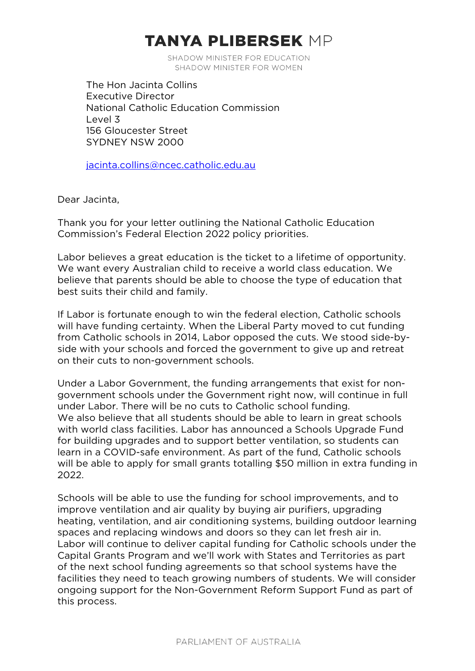# **TANYA PLIBERSEK MP**

SHADOW MINISTER FOR EDUCATION SHADOW MINISTER FOR WOMEN

The Hon Jacinta Collins Executive Director National Catholic Education Commission Level 3 156 Gloucester Street SYDNEY NSW 2000

[jacinta.collins@ncec.catholic.edu.au](mailto:jacinta.collins@ncec.catholic.edu.au)

Dear Jacinta,

Thank you for your letter outlining the National Catholic Education Commission's Federal Election 2022 policy priorities.

Labor believes a great education is the ticket to a lifetime of opportunity. We want every Australian child to receive a world class education. We believe that parents should be able to choose the type of education that best suits their child and family.

If Labor is fortunate enough to win the federal election, Catholic schools will have funding certainty. When the Liberal Party moved to cut funding from Catholic schools in 2014, Labor opposed the cuts. We stood side-byside with your schools and forced the government to give up and retreat on their cuts to non-government schools.

Under a Labor Government, the funding arrangements that exist for nongovernment schools under the Government right now, will continue in full under Labor. There will be no cuts to Catholic school funding. We also believe that all students should be able to learn in great schools with world class facilities. Labor has announced a Schools Upgrade Fund for building upgrades and to support better ventilation, so students can learn in a COVID-safe environment. As part of the fund, Catholic schools will be able to apply for small grants totalling \$50 million in extra funding in 2022.

Schools will be able to use the funding for school improvements, and to improve ventilation and air quality by buying air purifiers, upgrading heating, ventilation, and air conditioning systems, building outdoor learning spaces and replacing windows and doors so they can let fresh air in. Labor will continue to deliver capital funding for Catholic schools under the Capital Grants Program and we'll work with States and Territories as part of the next school funding agreements so that school systems have the facilities they need to teach growing numbers of students. We will consider ongoing support for the Non-Government Reform Support Fund as part of this process.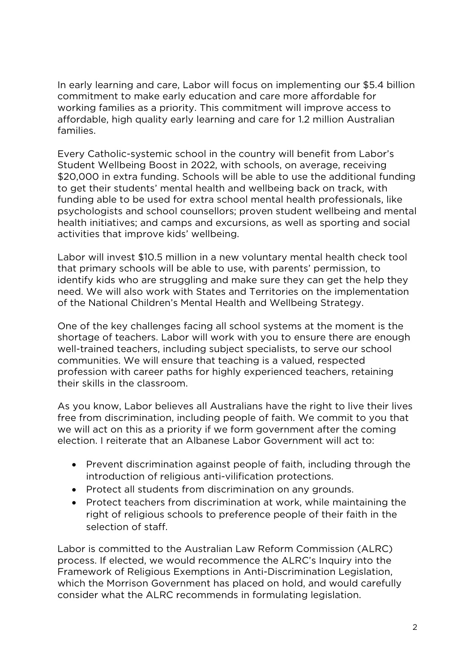In early learning and care, Labor will focus on implementing our \$5.4 billion commitment to make early education and care more affordable for working families as a priority. This commitment will improve access to affordable, high quality early learning and care for 1.2 million Australian families.

Every Catholic-systemic school in the country will benefit from Labor's Student Wellbeing Boost in 2022, with schools, on average, receiving \$20,000 in extra funding. Schools will be able to use the additional funding to get their students' mental health and wellbeing back on track, with funding able to be used for extra school mental health professionals, like psychologists and school counsellors; proven student wellbeing and mental health initiatives; and camps and excursions, as well as sporting and social activities that improve kids' wellbeing.

Labor will invest \$10.5 million in a new voluntary mental health check tool that primary schools will be able to use, with parents' permission, to identify kids who are struggling and make sure they can get the help they need. We will also work with States and Territories on the implementation of the National Children's Mental Health and Wellbeing Strategy.

One of the key challenges facing all school systems at the moment is the shortage of teachers. Labor will work with you to ensure there are enough well-trained teachers, including subject specialists, to serve our school communities. We will ensure that teaching is a valued, respected profession with career paths for highly experienced teachers, retaining their skills in the classroom.

As you know, Labor believes all Australians have the right to live their lives free from discrimination, including people of faith. We commit to you that we will act on this as a priority if we form government after the coming election. I reiterate that an Albanese Labor Government will act to:

- Prevent discrimination against people of faith, including through the introduction of religious anti-vilification protections.
- Protect all students from discrimination on any grounds.
- Protect teachers from discrimination at work, while maintaining the right of religious schools to preference people of their faith in the selection of staff.

Labor is committed to the Australian Law Reform Commission (ALRC) process. If elected, we would recommence the ALRC's Inquiry into the Framework of Religious Exemptions in Anti-Discrimination Legislation, which the Morrison Government has placed on hold, and would carefully consider what the ALRC recommends in formulating legislation.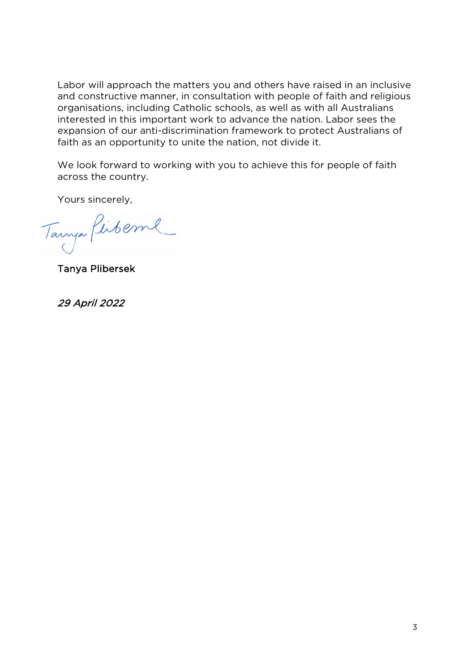Labor will approach the matters you and others have raised in an inclusive and constructive manner, in consultation with people of faith and religious organisations, including Catholic schools, as well as with all Australians interested in this important work to advance the nation. Labor sees the expansion of our anti-discrimination framework to protect Australians of faith as an opportunity to unite the nation, not divide it.

We look forward to working with you to achieve this for people of faith across the country.

Yours sincerely,

Tanya Pirberne

Tanya Plibersek

29 April 2022